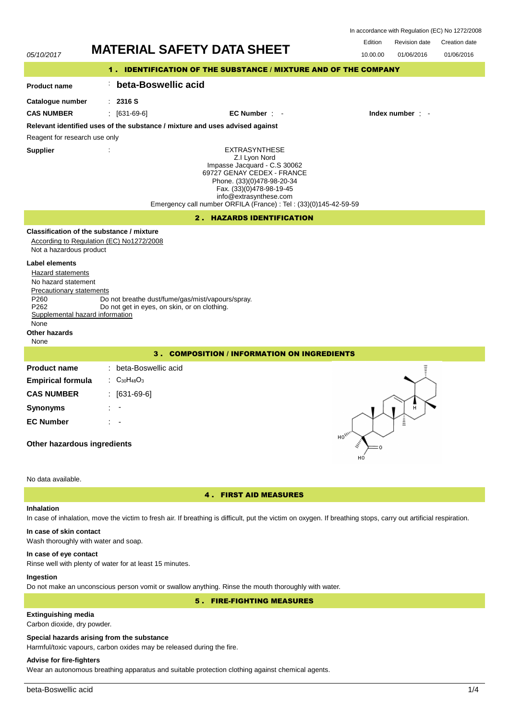| In accordance with Regulation (EC) No 1272/2008 |  |  |  |
|-------------------------------------------------|--|--|--|
|-------------------------------------------------|--|--|--|

Revision date Edition Revision date Creation date

| 05/10/2017                                                                                                                                                                                    |                                                                                       | <b>MATERIAL SAFETY DATA SHEET</b>                                                                                                                                                                                                                            | 10.00.00<br>01/06/2016<br>01/06/2016      |  |  |  |
|-----------------------------------------------------------------------------------------------------------------------------------------------------------------------------------------------|---------------------------------------------------------------------------------------|--------------------------------------------------------------------------------------------------------------------------------------------------------------------------------------------------------------------------------------------------------------|-------------------------------------------|--|--|--|
|                                                                                                                                                                                               | 1.                                                                                    | <b>IDENTIFICATION OF THE SUBSTANCE / MIXTURE AND OF THE COMPANY</b>                                                                                                                                                                                          |                                           |  |  |  |
| <b>Product name</b>                                                                                                                                                                           | beta-Boswellic acid                                                                   |                                                                                                                                                                                                                                                              |                                           |  |  |  |
| Catalogue number<br><b>CAS NUMBER</b>                                                                                                                                                         | $\therefore$ 2316 S<br>$[631-69-6]$                                                   | EC Number : -                                                                                                                                                                                                                                                | Index number : -                          |  |  |  |
|                                                                                                                                                                                               |                                                                                       | Relevant identified uses of the substance / mixture and uses advised against                                                                                                                                                                                 |                                           |  |  |  |
| Reagent for research use only                                                                                                                                                                 |                                                                                       |                                                                                                                                                                                                                                                              |                                           |  |  |  |
| <b>Supplier</b>                                                                                                                                                                               |                                                                                       | <b>EXTRASYNTHESE</b><br>Z.I Lyon Nord<br>Impasse Jacquard - C.S 30062<br>69727 GENAY CEDEX - FRANCE<br>Phone. (33)(0)478-98-20-34<br>Fax. (33)(0)478-98-19-45<br>info@extrasynthese.com<br>Emergency call number ORFILA (France) : Tel : (33)(0)145-42-59-59 |                                           |  |  |  |
|                                                                                                                                                                                               |                                                                                       | 2. HAZARDS IDENTIFICATION                                                                                                                                                                                                                                    |                                           |  |  |  |
| Not a hazardous product                                                                                                                                                                       | Classification of the substance / mixture<br>According to Regulation (EC) No1272/2008 |                                                                                                                                                                                                                                                              |                                           |  |  |  |
| <b>Label elements</b><br>Hazard statements<br>No hazard statement<br>Precautionary statements<br>P <sub>260</sub><br>P262<br>Supplemental hazard information<br>None<br>Other hazards<br>None | Do not get in eyes, on skin, or on clothing.                                          | Do not breathe dust/fume/gas/mist/vapours/spray.                                                                                                                                                                                                             |                                           |  |  |  |
| <b>COMPOSITION / INFORMATION ON INGREDIENTS</b><br>з.                                                                                                                                         |                                                                                       |                                                                                                                                                                                                                                                              |                                           |  |  |  |
| <b>Product name</b><br><b>Empirical formula</b><br><b>CAS NUMBER</b>                                                                                                                          | beta-Boswellic acid<br>$C_{30}H_{48}O_3$<br>$[631 - 69 - 6]$                          |                                                                                                                                                                                                                                                              |                                           |  |  |  |
| <b>Synonyms</b>                                                                                                                                                                               |                                                                                       |                                                                                                                                                                                                                                                              | н                                         |  |  |  |
| <b>EC Number</b><br>Other hazardous ingredients                                                                                                                                               |                                                                                       |                                                                                                                                                                                                                                                              | Ξ<br>$\mathsf{HO}_{\mathsf{A}\mathsf{A}}$ |  |  |  |
| No data available.                                                                                                                                                                            |                                                                                       |                                                                                                                                                                                                                                                              |                                           |  |  |  |
| <b>4. FIRST AID MEASURES</b>                                                                                                                                                                  |                                                                                       |                                                                                                                                                                                                                                                              |                                           |  |  |  |

#### **Inhalation**

# In case of inhalation, move the victim to fresh air. If breathing is difficult, put the victim on oxygen. If breathing stops, carry out artificial respiration. **In case of skin contact**

Wash thoroughly with water and soap.

#### **In case of eye contact**

Rinse well with plenty of water for at least 15 minutes.

## **Ingestion**

Do not make an unconscious person vomit or swallow anything. Rinse the mouth thoroughly with water.

# 5 . FIRE-FIGHTING MEASURES

# **Extinguishing media**

Carbon dioxide, dry powder.

## **Special hazards arising from the substance**

Harmful/toxic vapours, carbon oxides may be released during the fire.

# **Advise for fire-fighters**

Wear an autonomous breathing apparatus and suitable protection clothing against chemical agents.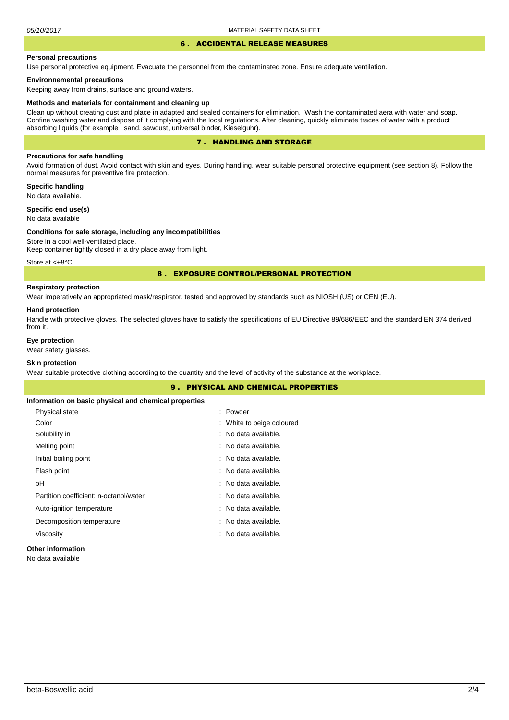#### 6 . ACCIDENTAL RELEASE MEASURES

#### **Personal precautions**

Use personal protective equipment. Evacuate the personnel from the contaminated zone. Ensure adequate ventilation.

#### **Environnemental precautions**

Keeping away from drains, surface and ground waters.

#### **Methods and materials for containment and cleaning up**

Clean up without creating dust and place in adapted and sealed containers for elimination. Wash the contaminated aera with water and soap. Confine washing water and dispose of it complying with the local regulations. After cleaning, quickly eliminate traces of water with a product absorbing liquids (for example : sand, sawdust, universal binder, Kieselguhr).

## 7 . HANDLING AND STORAGE

## **Precautions for safe handling**

Avoid formation of dust. Avoid contact with skin and eyes. During handling, wear suitable personal protective equipment (see section 8). Follow the normal measures for preventive fire protection.

**Specific handling** No data available.

**Specific end use(s)**

# No data available

## **Conditions for safe storage, including any incompatibilities**

Store in a cool well-ventilated place. Keep container tightly closed in a dry place away from light.

Store at <+8°C

#### 8 . EXPOSURE CONTROL/PERSONAL PROTECTION

# **Respiratory protection**

Wear imperatively an appropriated mask/respirator, tested and approved by standards such as NIOSH (US) or CEN (EU).

#### **Hand protection**

Handle with protective gloves. The selected gloves have to satisfy the specifications of EU Directive 89/686/EEC and the standard EN 374 derived from it.

## **Eye protection**

Wear safety glasses.

## **Skin protection**

Wear suitable protective clothing according to the quantity and the level of activity of the substance at the workplace.

|                                                       | <b>9. PHYSICAL AND CHEMICAL PROPERTIES</b> |  |
|-------------------------------------------------------|--------------------------------------------|--|
| Information on basic physical and chemical properties |                                            |  |
| Physical state                                        | : Powder                                   |  |
| Color                                                 | : White to beige coloured                  |  |
| Solubility in                                         | : No data available.                       |  |
| Melting point                                         | : No data available.                       |  |
| Initial boiling point                                 | : No data available.                       |  |
| Flash point                                           | : No data available.                       |  |
| рH                                                    | : No data available.                       |  |
| Partition coefficient: n-octanol/water                | : No data available.                       |  |
| Auto-ignition temperature                             | : No data available.                       |  |
| Decomposition temperature                             | : No data available.                       |  |
| Viscosity                                             | : No data available.                       |  |
|                                                       |                                            |  |

## **Other information**

No data available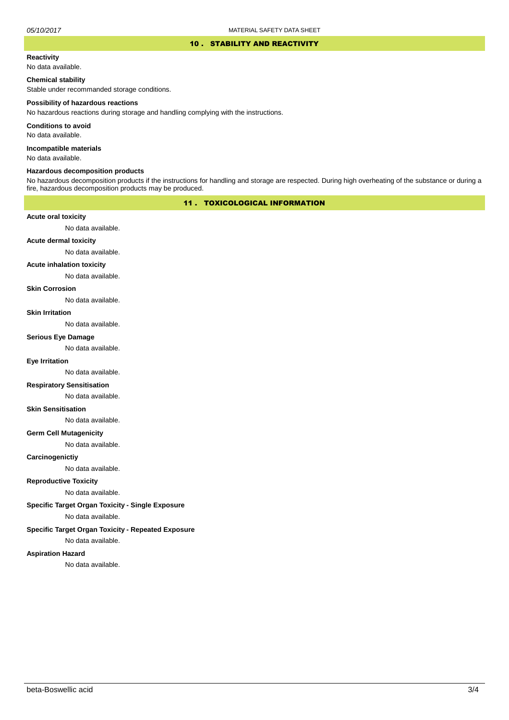#### 10 . STABILITY AND REACTIVITY

## **Reactivity**

No data available.

#### **Chemical stability**

Stable under recommanded storage conditions.

#### **Possibility of hazardous reactions**

No hazardous reactions during storage and handling complying with the instructions.

**Conditions to avoid**

No data available.

**Incompatible materials**

No data available.

## **Hazardous decomposition products**

No hazardous decomposition products if the instructions for handling and storage are respected. During high overheating of the substance or during a fire, hazardous decomposition products may be produced.

## 11 . TOXICOLOGICAL INFORMATION

#### **Acute oral toxicity**

No data available.

# **Acute dermal toxicity**

No data available.

#### **Acute inhalation toxicity**

No data available.

#### **Skin Corrosion**

No data available.

#### **Skin Irritation**

No data available.

# **Serious Eye Damage**

No data available.

# **Eye Irritation**

No data available.

#### **Respiratory Sensitisation**

No data available.

#### **Skin Sensitisation**

No data available.

#### **Germ Cell Mutagenicity**

No data available.

#### **Carcinogenictiy**

No data available.

## **Reproductive Toxicity**

No data available.

#### **Specific Target Organ Toxicity - Single Exposure**

No data available.

#### **Specific Target Organ Toxicity - Repeated Exposure**

No data available.

#### **Aspiration Hazard**

No data available.